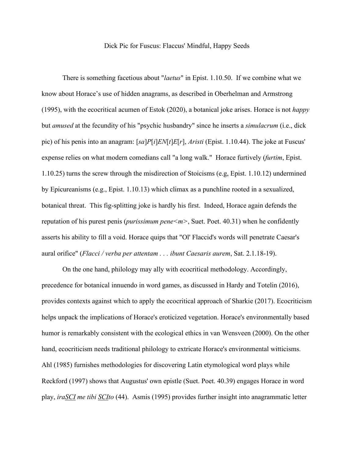## Dick Pic for Fuscus: Flaccus' Mindful, Happy Seeds

There is something facetious about "*laetus*" in Epist. 1.10.50. If we combine what we know about Horace's use of hidden anagrams, as described in Oberhelman and Armstrong (1995), with the ecocritical acumen of Estok (2020), a botanical joke arises. Horace is not *happy* but *amused* at the fecundity of his "psychic husbandry" since he inserts a *simulacrum* (i.e., dick pic) of his penis into an anagram: [*sa*]*P*[*i*]*EN*[*t*]*E*[*r*], *Aristi* (Epist. 1.10.44). The joke at Fuscus' expense relies on what modern comedians call "a long walk." Horace furtively (*furtim*, Epist. 1.10.25) turns the screw through the misdirection of Stoicisms (e.g, Epist. 1.10.12) undermined by Epicureanisms (e.g., Epist. 1.10.13) which climax as a punchline rooted in a sexualized, botanical threat. This fig-splitting joke is hardly his first. Indeed, Horace again defends the reputation of his purest penis (*purissimum pene<m>*, Suet. Poet. 40.31) when he confidently asserts his ability to fill a void. Horace quips that "Ol' Flaccid's words will penetrate Caesar's aural orifice" (*Flacci / verba per attentam . . . ibunt Caesaris aurem*, Sat. 2.1.18-19).

On the one hand, philology may ally with ecocritical methodology. Accordingly, precedence for botanical innuendo in word games, as discussed in Hardy and Totelin (2016), provides contexts against which to apply the ecocritical approach of Sharkie (2017). Ecocriticism helps unpack the implications of Horace's eroticized vegetation. Horace's environmentally based humor is remarkably consistent with the ecological ethics in van Wensveen (2000). On the other hand, ecocriticism needs traditional philology to extricate Horace's environmental witticisms. Ahl (1985) furnishes methodologies for discovering Latin etymological word plays while Reckford (1997) shows that Augustus' own epistle (Suet. Poet. 40.39) engages Horace in word play, *iraSCI me tibi SCIto* (44). Asmis (1995) provides further insight into anagrammatic letter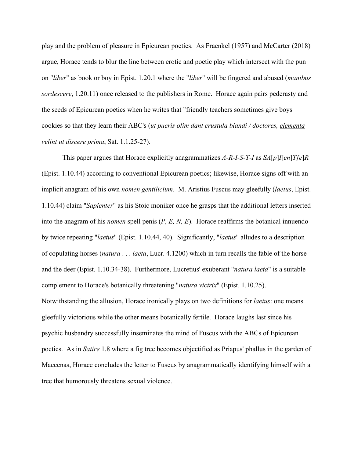play and the problem of pleasure in Epicurean poetics. As Fraenkel (1957) and McCarter (2018) argue, Horace tends to blur the line between erotic and poetic play which intersect with the pun on "*liber*" as book or boy in Epist. 1.20.1 where the "*liber*" will be fingered and abused (*manibus sordescere*, 1.20.11) once released to the publishers in Rome. Horace again pairs pederasty and the seeds of Epicurean poetics when he writes that "friendly teachers sometimes give boys cookies so that they learn their ABC's (*ut pueris olim dant crustula blandi / doctores, elementa velint ut discere prima*, Sat. 1.1.25-27).

This paper argues that Horace explicitly anagrammatizes *A-R-I-S-T-I* as *SA*[*p*]*I*[*en*]*T[e*]*R* (Epist. 1.10.44) according to conventional Epicurean poetics; likewise, Horace signs off with an implicit anagram of his own *nomen gentilicium*. M. Aristius Fuscus may gleefully (*laetus*, Epist. 1.10.44) claim "*Sapienter*" as his Stoic moniker once he grasps that the additional letters inserted into the anagram of his *nomen* spell penis (*P, E, N, E*). Horace reaffirms the botanical innuendo by twice repeating "*laetus*" (Epist. 1.10.44, 40). Significantly, "*laetus*" alludes to a description of copulating horses (*natura* . . . *laeta*, Lucr. 4.1200) which in turn recalls the fable of the horse and the deer (Epist. 1.10.34-38). Furthermore, Lucretius' exuberant "*natura laeta*" is a suitable complement to Horace's botanically threatening "*natura victrix*" (Epist. 1.10.25). Notwithstanding the allusion, Horace ironically plays on two definitions for *laetus*: one means gleefully victorious while the other means botanically fertile. Horace laughs last since his psychic husbandry successfully inseminates the mind of Fuscus with the ABCs of Epicurean poetics. As in *Satire* 1.8 where a fig tree becomes objectified as Priapus' phallus in the garden of Maecenas, Horace concludes the letter to Fuscus by anagrammatically identifying himself with a tree that humorously threatens sexual violence.